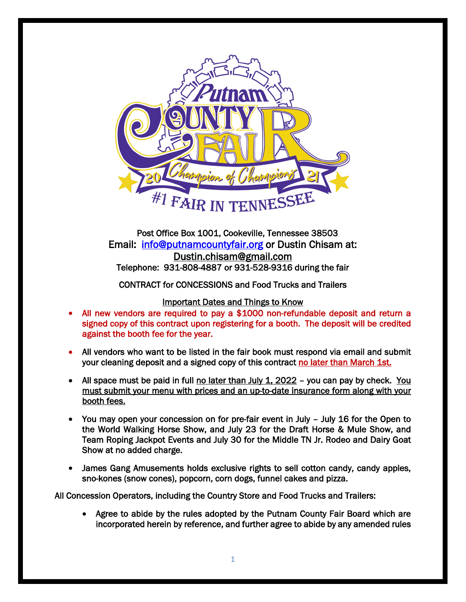

Post Office Box 1001, Cookeville, Tennessee 38503 Email: [info@putnamcountyfair.org](mailto:info@putnamcountyfair.org) or Dustin Chisam at: Dustin.chisam@gmail.com<br>Telephone: 931-808-4887 or 931-528-9316 during the fair

CONTRACT for CONCESSIONS and Food Trucks and Trailers

## Important Dates and Things to Know

- All new vendors are required to pay a \$1000 non-refundable deposit and return a signed copy of this contract upon registering for a booth. The deposit will be credited against the booth fee for the year.
- All vendors who want to be listed in the fair book must respond via email and submit your cleaning deposit and a signed copy of this contract no later than March 1st.
- All space must be paid in full no later than July  $1, 2022$  you can pay by check. You must submit your menu with prices and an up-to-date insurance form along with your booth fees.
- You may open your concession on for pre-fair event in July July 16 for the Open to the World Walking Horse Show, and July 23 for the Draft Horse & Mule Show, and Team Roping Jackpot Events and July 30 for the Middle TN Jr. Rodeo and Dairy Goat Show at no added charge.
- James Gang Amusements holds exclusive rights to sell cotton candy, candy apples, sno-kones (snow cones), popcorn, corn dogs, funnel cakes and pizza.

All Concession Operators, including the Country Store and Food Trucks and Trailers:

• Agree to abide by the rules adopted by the Putnam County Fair Board which are incorporated herein by reference, and further agree to abide by any amended rules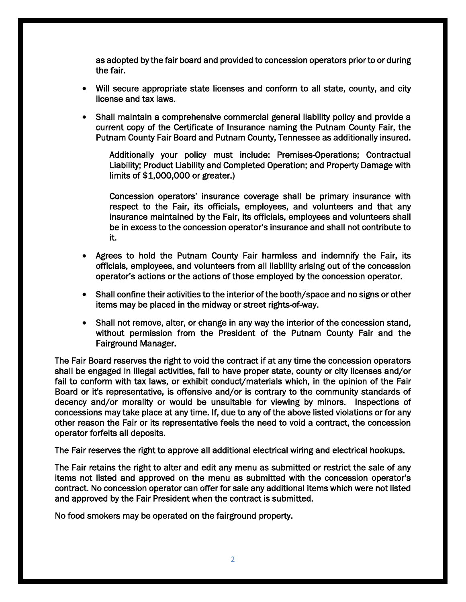as adopted by the fair board and provided to concession operators prior to or during the fair.

- Will secure appropriate state licenses and conform to all state, county, and city license and tax laws.
- Shall maintain a comprehensive commercial general liability policy and provide a current copy of the Certificate of Insurance naming the Putnam County Fair, the Putnam County Fair Board and Putnam County, Tennessee as additionally insured.

Additionally your policy must include: Premises-Operations; Contractual Liability; Product Liability and Completed Operation; and Property Damage with limits of \$1,000,000 or greater.)

Concession operators' insurance coverage shall be primary insurance with respect to the Fair, its officials, employees, and volunteers and that any insurance maintained by the Fair, its officials, employees and volunteers shall be in excess to the concession operator's insurance and shall not contribute to it.

- Agrees to hold the Putnam County Fair harmless and indemnify the Fair, its officials, employees, and volunteers from all liability arising out of the concession operator's actions or the actions of those employed by the concession operator.
- Shall confine their activities to the interior of the booth/space and no signs or other items may be placed in the midway or street rights-of-way.
- Shall not remove, alter, or change in any way the interior of the concession stand, without permission from the President of the Putnam County Fair and the Fairground Manager.

The Fair Board reserves the right to void the contract if at any time the concession operators shall be engaged in illegal activities, fail to have proper state, county or city licenses and/or fail to conform with tax laws, or exhibit conduct/materials which, in the opinion of the Fair Board or it's representative, is offensive and/or is contrary to the community standards of decency and/or morality or would be unsuitable for viewing by minors. Inspections of concessions may take place at any time. If, due to any of the above listed violations or for any other reason the Fair or its representative feels the need to void a contract, the concession operator forfeits all deposits.

The Fair reserves the right to approve all additional electrical wiring and electrical hookups.

The Fair retains the right to alter and edit any menu as submitted or restrict the sale of any items not listed and approved on the menu as submitted with the concession operator's contract. No concession operator can offer for sale any additional items which were not listed and approved by the Fair President when the contract is submitted.

No food smokers may be operated on the fairground property.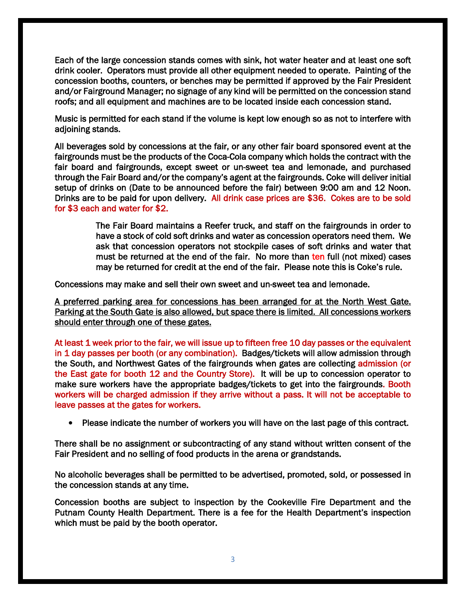Each of the large concession stands comes with sink, hot water heater and at least one soft drink cooler. Operators must provide all other equipment needed to operate. Painting of the concession booths, counters, or benches may be permitted if approved by the Fair President and/or Fairground Manager; no signage of any kind will be permitted on the concession stand roofs; and all equipment and machines are to be located inside each concession stand.

Music is permitted for each stand if the volume is kept low enough so as not to interfere with adjoining stands.

All beverages sold by concessions at the fair, or any other fair board sponsored event at the fairgrounds must be the products of the Coca-Cola company which holds the contract with the fair board and fairgrounds, except sweet or un-sweet tea and lemonade, and purchased through the Fair Board and/or the company's agent at the fairgrounds. Coke will deliver initial setup of drinks on (Date to be announced before the fair) between 9:00 am and 12 Noon. Drinks are to be paid for upon delivery. All drink case prices are \$36. Cokes are to be sold for \$3 each and water for \$2.

> The Fair Board maintains a Reefer truck, and staff on the fairgrounds in order to have a stock of cold soft drinks and water as concession operators need them. We ask that concession operators not stockpile cases of soft drinks and water that must be returned at the end of the fair. No more than ten full (not mixed) cases may be returned for credit at the end of the fair. Please note this is Coke's rule.

Concessions may make and sell their own sweet and un-sweet tea and lemonade.

A preferred parking area for concessions has been arranged for at the North West Gate. Parking at the South Gate is also allowed, but space there is limited. All concessions workers should enter through one of these gates.

At least 1 week prior to the fair, we will issue up to fifteen free 10 day passes or the equivalent in 1 day passes per booth (or any combination). Badges/tickets will allow admission through the South, and Northwest Gates of the fairgrounds when gates are collecting admission (or the East gate for booth 12 and the Country Store). It will be up to concession operator to make sure workers have the appropriate badges/tickets to get into the fairgrounds. Booth workers will be charged admission if they arrive without a pass. It will not be acceptable to leave passes at the gates for workers.

• Please indicate the number of workers you will have on the last page of this contract.

There shall be no assignment or subcontracting of any stand without written consent of the Fair President and no selling of food products in the arena or grandstands.

No alcoholic beverages shall be permitted to be advertised, promoted, sold, or possessed in the concession stands at any time.

Concession booths are subject to inspection by the Cookeville Fire Department and the Putnam County Health Department. There is a fee for the Health Department's inspection which must be paid by the booth operator.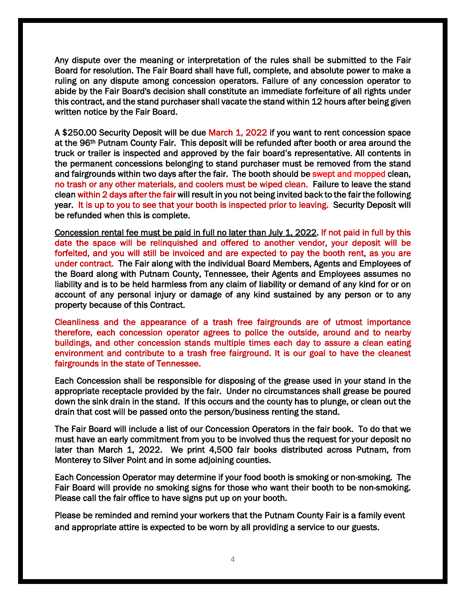Any dispute over the meaning or interpretation of the rules shall be submitted to the Fair Board for resolution. The Fair Board shall have full, complete, and absolute power to make a ruling on any dispute among concession operators. Failure of any concession operator to abide by the Fair Board's decision shall constitute an immediate forfeiture of all rights under this contract, and the stand purchaser shall vacate the stand within 12 hours after being given written notice by the Fair Board.

A \$250.00 Security Deposit will be due March 1, 2022 if you want to rent concession space at the 96th Putnam County Fair. This deposit will be refunded after booth or area around the truck or trailer is inspected and approved by the fair board's representative. All contents in the permanent concessions belonging to stand purchaser must be removed from the stand and fairgrounds within two days after the fair. The booth should be swept and mopped clean, no trash or any other materials, and coolers must be wiped clean. Failure to leave the stand clean within 2 days after the fair will result in you not being invited back to the fair the following year. It is up to you to see that your booth is inspected prior to leaving. Security Deposit will be refunded when this is complete.

Concession rental fee must be paid in full no later than July 1, 2022. If not paid in full by this date the space will be relinquished and offered to another vendor, your deposit will be forfeited, and you will still be invoiced and are expected to pay the booth rent, as you are under contract. The Fair along with the individual Board Members, Agents and Employees of the Board along with Putnam County, Tennessee, their Agents and Employees assumes no liability and is to be held harmless from any claim of liability or demand of any kind for or on account of any personal injury or damage of any kind sustained by any person or to any property because of this Contract.

Cleanliness and the appearance of a trash free fairgrounds are of utmost importance therefore, each concession operator agrees to police the outside, around and to nearby buildings, and other concession stands multiple times each day to assure a clean eating environment and contribute to a trash free fairground. It is our goal to have the cleanest fairgrounds in the state of Tennessee.

Each Concession shall be responsible for disposing of the grease used in your stand in the appropriate receptacle provided by the fair. Under no circumstances shall grease be poured down the sink drain in the stand. If this occurs and the county has to plunge, or clean out the drain that cost will be passed onto the person/business renting the stand.

The Fair Board will include a list of our Concession Operators in the fair book. To do that we must have an early commitment from you to be involved thus the request for your deposit no later than March 1, 2022. We print 4,500 fair books distributed across Putnam, from Monterey to Silver Point and in some adjoining counties.

Each Concession Operator may determine if your food booth is smoking or non-smoking. The Fair Board will provide no smoking signs for those who want their booth to be non-smoking. Please call the fair office to have signs put up on your booth.

Please be reminded and remind your workers that the Putnam County Fair is a family event and appropriate attire is expected to be worn by all providing a service to our guests.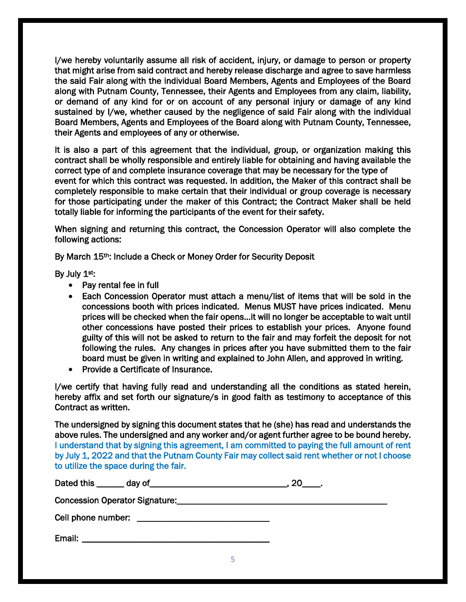I/we hereby voluntarily assume all risk of accident, injury, or damage to person or property that might arise from said contract and hereby release discharge and agree to save harmless the said Fair along with the individual Board Members, Agents and Employees of the Board along with Putnam County, Tennessee, their Agents and Employees from any claim, liability, or demand of any kind for or on account of any personal injury or damage of any kind sustained by I/we, whether caused by the negligence of said Fair along with the individual Board Members, Agents and Employees of the Board along with Putnam County, Tennessee, their Agents and employees of any or otherwise.

It is also a part of this agreement that the individual, group, or organization making this contract shall be wholly responsible and entirely liable for obtaining and having available the correct type of and complete insurance coverage that may be necessary for the type of event for which this contract was requested. In addition, the Maker of this contract shall be completely responsible to make certain that their individual or group coverage is necessary for those participating under the maker of this Contract; the Contract Maker shall be held totally liable for informing the participants of the event for their safety.

When signing and returning this contract, the Concession Operator will also complete the following actions:

By March 15th: Include a Check or Money Order for Security Deposit

By July 1st:

- Pay rental fee in full
- Each Concession Operator must attach a menu/list of items that will be sold in the concessions booth with prices indicated. Menus MUST have prices indicated. Menu prices will be checked when the fair opens…it will no longer be acceptable to wait until other concessions have posted their prices to establish your prices. Anyone found guilty of this will not be asked to return to the fair and may forfeit the deposit for not following the rules. Any changes in prices after you have submitted them to the fair board must be given in writing and explained to John Allen, and approved in writing.
- Provide a Certificate of Insurance.

I/we certify that having fully read and understanding all the conditions as stated herein, hereby affix and set forth our signature/s in good faith as testimony to acceptance of this Contract as written.

The undersigned by signing this document states that he (she) has read and understands the above rules. The undersigned and any worker and/or agent further agree to be bound hereby. I understand that by signing this agreement, I am committed to paying the full amount of rent by July 1, 2022 and that the Putnam County Fair may collect said rent whether or not I choose to utilize the space during the fair.

| Dated this _______ day of<br>the control of the control of the control of the control of the control of the control of the control of the control of the control of the control of the control of the control of the control of the control of the control |  |
|------------------------------------------------------------------------------------------------------------------------------------------------------------------------------------------------------------------------------------------------------------|--|
| <b>Concession Operator Signature:</b>                                                                                                                                                                                                                      |  |
|                                                                                                                                                                                                                                                            |  |
| Email:                                                                                                                                                                                                                                                     |  |